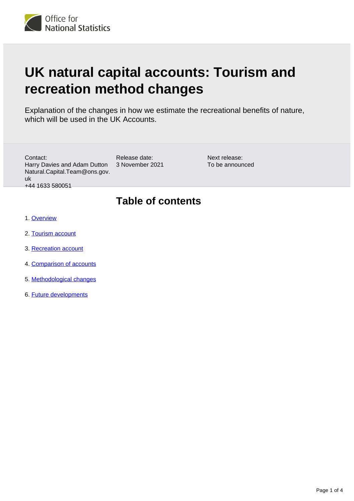

# **UK natural capital accounts: Tourism and recreation method changes**

Explanation of the changes in how we estimate the recreational benefits of nature, which will be used in the UK Accounts.

Contact: Harry Davies and Adam Dutton Natural.Capital.Team@ons.gov. uk +44 1633 580051

Release date: 3 November 2021 Next release: To be announced

# **Table of contents**

- 1. [Overview](#page-1-0)
- 2. [Tourism account](#page-1-1)
- 3. [Recreation account](#page-1-2)
- 4. [Comparison of accounts](#page-2-0)
- 5. [Methodological changes](#page-2-1)
- 6. [Future developments](#page-3-0)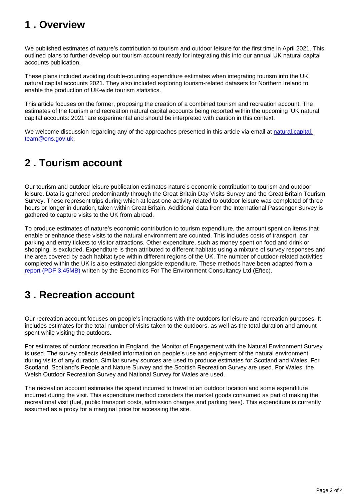# <span id="page-1-0"></span>**1 . Overview**

We published estimates of nature's contribution to tourism and outdoor leisure for the first time in April 2021. This outlined plans to further develop our tourism account ready for integrating this into our annual UK natural capital accounts publication.

These plans included avoiding double-counting expenditure estimates when integrating tourism into the UK natural capital accounts 2021. They also included exploring tourism-related datasets for Northern Ireland to enable the production of UK-wide tourism statistics.

This article focuses on the former, proposing the creation of a combined tourism and recreation account. The estimates of the tourism and recreation natural capital accounts being reported within the upcoming 'UK natural capital accounts: 2021' are experimental and should be interpreted with caution in this context.

We welcome discussion regarding any of the approaches presented in this article via email at [natural.capital.](mailto:natural.capital.team@ons.gov.uk) [team@ons.gov.uk](mailto:natural.capital.team@ons.gov.uk).

### <span id="page-1-1"></span>**2 . Tourism account**

Our tourism and outdoor leisure publication estimates nature's economic contribution to tourism and outdoor leisure. Data is gathered predominantly through the Great Britain Day Visits Survey and the Great Britain Tourism Survey. These represent trips during which at least one activity related to outdoor leisure was completed of three hours or longer in duration, taken within Great Britain. Additional data from the International Passenger Survey is gathered to capture visits to the UK from abroad.

To produce estimates of nature's economic contribution to tourism expenditure, the amount spent on items that enable or enhance these visits to the natural environment are counted. This includes costs of transport, car parking and entry tickets to visitor attractions. Other expenditure, such as money spent on food and drink or shopping, is excluded. Expenditure is then attributed to different habitats using a mixture of survey responses and the area covered by each habitat type within different regions of the UK. The number of outdoor-related activities completed within the UK is also estimated alongside expenditure. These methods have been adapted from a [report \(PDF 3.45MB\)](http://randd.defra.gov.uk/Document.aspx?Document=14679_NR0176FinalReport.pdf) written by the Economics For The Environment Consultancy Ltd (Eftec).

# <span id="page-1-2"></span>**3 . Recreation account**

Our recreation account focuses on people's interactions with the outdoors for leisure and recreation purposes. It includes estimates for the total number of visits taken to the outdoors, as well as the total duration and amount spent while visiting the outdoors.

For estimates of outdoor recreation in England, the Monitor of Engagement with the Natural Environment Survey is used. The survey collects detailed information on people's use and enjoyment of the natural environment during visits of any duration. Similar survey sources are used to produce estimates for Scotland and Wales. For Scotland, Scotland's People and Nature Survey and the Scottish Recreation Survey are used. For Wales, the Welsh Outdoor Recreation Survey and National Survey for Wales are used.

The recreation account estimates the spend incurred to travel to an outdoor location and some expenditure incurred during the visit. This expenditure method considers the market goods consumed as part of making the recreational visit (fuel, public transport costs, admission charges and parking fees). This expenditure is currently assumed as a proxy for a marginal price for accessing the site.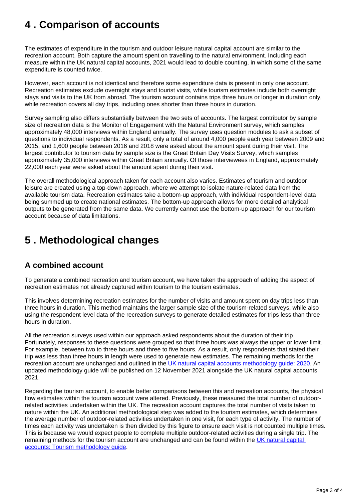# <span id="page-2-0"></span>**4 . Comparison of accounts**

The estimates of expenditure in the tourism and outdoor leisure natural capital account are similar to the recreation account. Both capture the amount spent on travelling to the natural environment. Including each measure within the UK natural capital accounts, 2021 would lead to double counting, in which some of the same expenditure is counted twice.

However, each account is not identical and therefore some expenditure data is present in only one account. Recreation estimates exclude overnight stays and tourist visits, while tourism estimates include both overnight stays and visits to the UK from abroad. The tourism account contains trips three hours or longer in duration only, while recreation covers all day trips, including ones shorter than three hours in duration.

Survey sampling also differs substantially between the two sets of accounts. The largest contributor by sample size of recreation data is the Monitor of Engagement with the Natural Environment survey, which samples approximately 48,000 interviews within England annually. The survey uses question modules to ask a subset of questions to individual respondents. As a result, only a total of around 4,000 people each year between 2009 and 2015, and 1,600 people between 2016 and 2018 were asked about the amount spent during their visit. The largest contributor to tourism data by sample size is the Great Britain Day Visits Survey, which samples approximately 35,000 interviews within Great Britain annually. Of those interviewees in England, approximately 22,000 each year were asked about the amount spent during their visit.

The overall methodological approach taken for each account also varies. Estimates of tourism and outdoor leisure are created using a top-down approach, where we attempt to isolate nature-related data from the available tourism data. Recreation estimates take a bottom-up approach, with individual respondent-level data being summed up to create national estimates. The bottom-up approach allows for more detailed analytical outputs to be generated from the same data. We currently cannot use the bottom-up approach for our tourism account because of data limitations.

# <span id="page-2-1"></span>**5 . Methodological changes**

#### **A combined account**

To generate a combined recreation and tourism account, we have taken the approach of adding the aspect of recreation estimates not already captured within tourism to the tourism estimates.

This involves determining recreation estimates for the number of visits and amount spent on day trips less than three hours in duration. This method maintains the larger sample size of the tourism-related surveys, while also using the respondent level data of the recreation surveys to generate detailed estimates for trips less than three hours in duration.

All the recreation surveys used within our approach asked respondents about the duration of their trip. Fortunately, responses to these questions were grouped so that three hours was always the upper or lower limit. For example, between two to three hours and three to five hours. As a result, only respondents that stated their trip was less than three hours in length were used to generate new estimates. The remaining methods for the recreation account are unchanged and outlined in the UK natural capital accounts methodology quide: 2020. An updated methodology guide will be published on 12 November 2021 alongside the UK natural capital accounts 2021.

Regarding the tourism account, to enable better comparisons between this and recreation accounts, the physical flow estimates within the tourism account were altered. Previously, these measured the total number of outdoorrelated activities undertaken within the UK. The recreation account captures the total number of visits taken to nature within the UK. An additional methodological step was added to the tourism estimates, which determines the average number of outdoor-related activities undertaken in one visit, for each type of activity. The number of times each activity was undertaken is then divided by this figure to ensure each visit is not counted multiple times. This is because we would expect people to complete multiple outdoor-related activities during a single trip. The remaining methods for the tourism account are unchanged and can be found within the [UK natural capital](https://www.ons.gov.uk/economy/environmentalaccounts/methodologies/uknaturalcapitalaccountstourismmethodology)  [accounts: Tourism methodology guide](https://www.ons.gov.uk/economy/environmentalaccounts/methodologies/uknaturalcapitalaccountstourismmethodology).